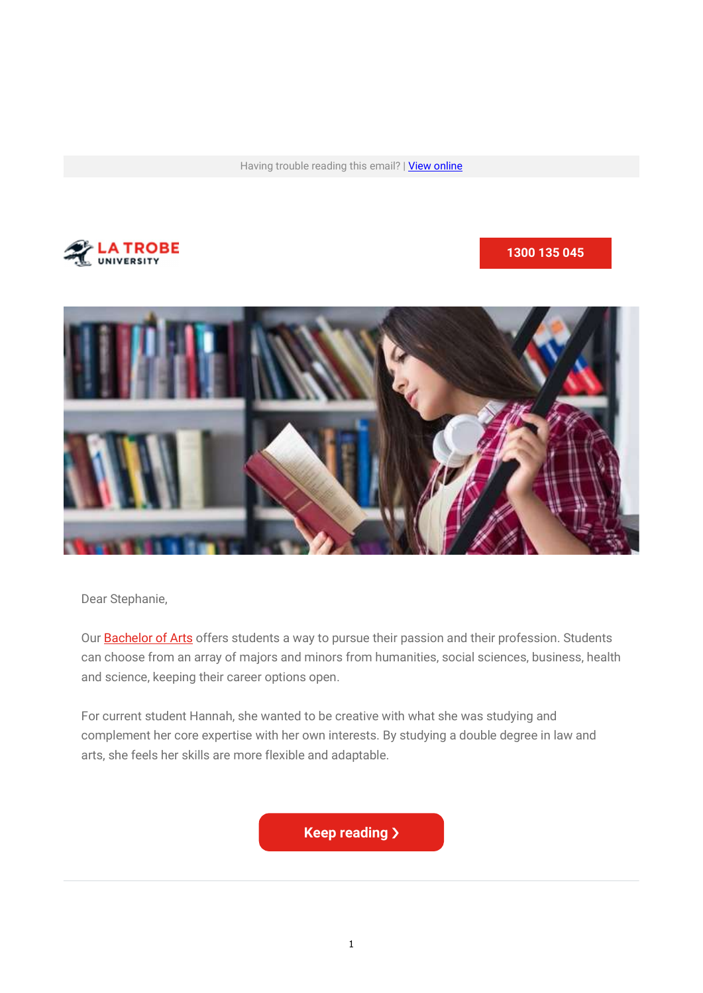Having trouble reading this email? | View online



#### 1300 135 045



Dear Stephanie,

Our **Bachelor of Arts** offers students a way to pursue their passion and their profession. Students can choose from an array of majors and minors from humanities, social sciences, business, health and science, keeping their career options open.

For current student Hannah, she wanted to be creative with what she was studying and complement her core expertise with her own interests. By studying a double degree in law and arts, she feels her skills are more flexible and adaptable.

**Keep reading >**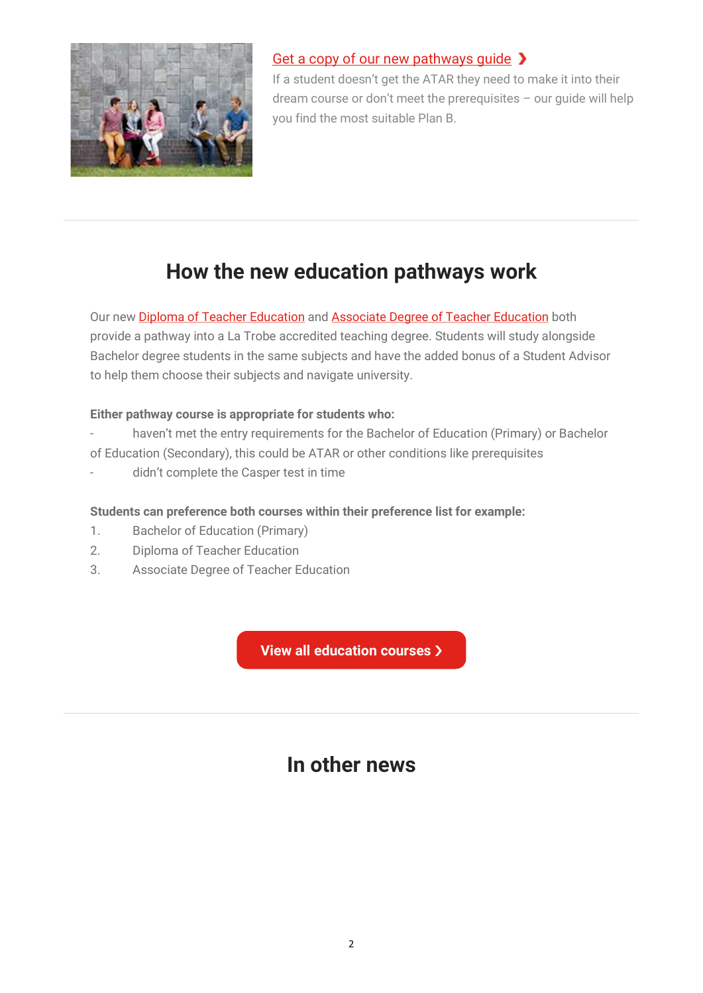

## Get a copy of our new pathways quide >

If a student doesn't get the ATAR they need to make it into their dream course or don't meet the prerequisites – our guide will help you find the most suitable Plan B.

# How the new education pathways work

Our new **Diploma of Teacher Education** and **Associate Degree of Teacher Education** both provide a pathway into a La Trobe accredited teaching degree. Students will study alongside Bachelor degree students in the same subjects and have the added bonus of a Student Advisor to help them choose their subjects and navigate university.

### Either pathway course is appropriate for students who:

- haven't met the entry requirements for the Bachelor of Education (Primary) or Bachelor
- of Education (Secondary), this could be ATAR or other conditions like prerequisites
- didn't complete the Casper test in time

### Students can preference both courses within their preference list for example:

- 1. Bachelor of Education (Primary)
- 2. Diploma of Teacher Education
- 3. Associate Degree of Teacher Education

View all education courses >

# In other news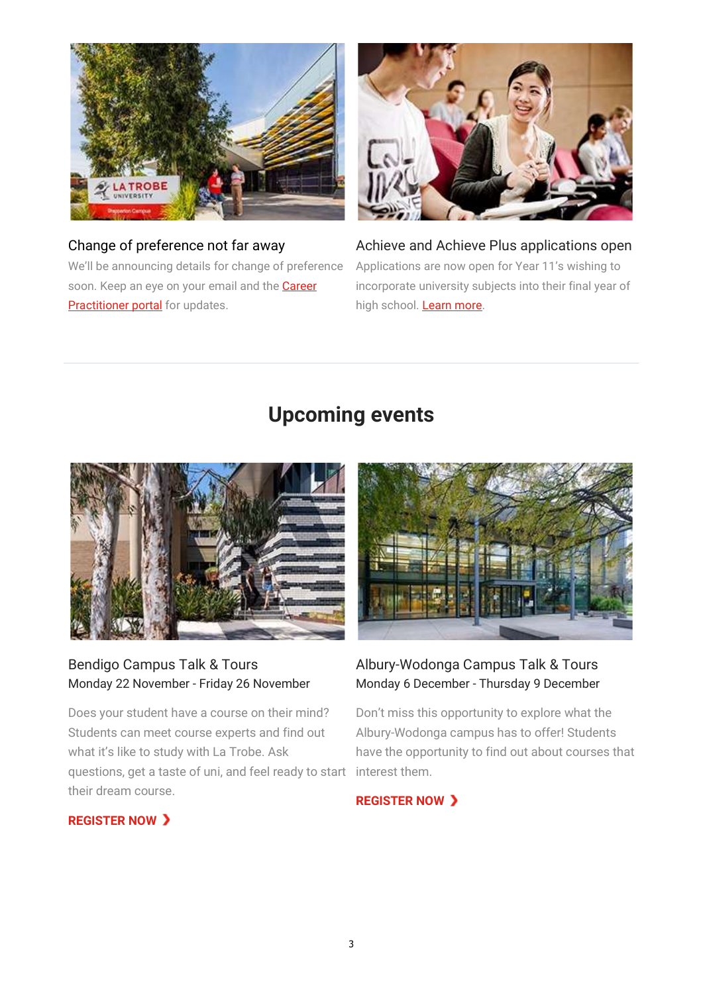

Change of preference not far away We'll be announcing details for change of preference soon. Keep an eye on your email and the **Career Practitioner portal** for updates.



Achieve and Achieve Plus applications open Applications are now open for Year 11's wishing to incorporate university subjects into their final year of high school. Learn more.

# Upcoming events



### Bendigo Campus Talk & Tours Monday 22 November - Friday 26 November

Does your student have a course on their mind? Students can meet course experts and find out what it's like to study with La Trobe. Ask questions, get a taste of uni, and feel ready to start their dream course.



### Albury-Wodonga Campus Talk & Tours Monday 6 December - Thursday 9 December

Don't miss this opportunity to explore what the Albury-Wodonga campus has to offer! Students have the opportunity to find out about courses that interest them.

#### **REGISTER NOW >**

### **REGISTER NOW >**